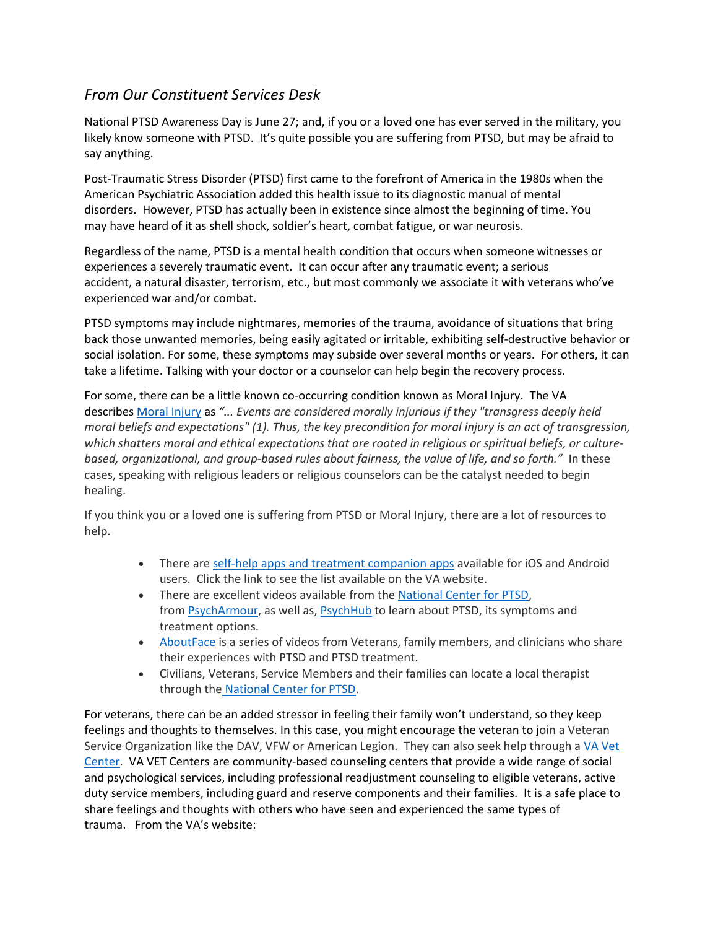## *From Our Constituent Services Desk*

National PTSD Awareness Day is June 27; and, if you or a loved one has ever served in the military, you likely know someone with PTSD. It's quite possible you are suffering from PTSD, but may be afraid to say anything.

Post-Traumatic Stress Disorder (PTSD) first came to the forefront of America in the 1980s when the American Psychiatric Association added this health issue to its diagnostic manual of mental disorders. However, PTSD has actually been in existence since almost the beginning of time. You may have heard of it as shell shock, soldier's heart, combat fatigue, or war neurosis.

Regardless of the name, PTSD is a mental health condition that occurs when someone witnesses or experiences a severely traumatic event. It can occur after any traumatic event; a serious accident, a natural disaster, terrorism, etc., but most commonly we associate it with veterans who've experienced war and/or combat.

PTSD symptoms may include nightmares, memories of the trauma, avoidance of situations that bring back those unwanted memories, being easily agitated or irritable, exhibiting self-destructive behavior or social isolation. For some, these symptoms may subside over several months or years. For others, it can take a lifetime. Talking with your doctor or a counselor can help begin the recovery process.

For some, there can be a little known co-occurring condition known as Moral Injury. The VA describes [Moral Injury](https://www.ptsd.va.gov/professional/treat/cooccurring/moral_injury.asp) as *"... Events are considered morally injurious if they "transgress deeply held moral beliefs and expectations" (1). Thus, the key precondition for moral injury is an act of transgression, which shatters moral and ethical expectations that are rooted in religious or spiritual beliefs, or culturebased, organizational, and group-based rules about fairness, the value of life, and so forth."* In these cases, speaking with religious leaders or religious counselors can be the catalyst needed to begin healing.

If you think you or a loved one is suffering from PTSD or Moral Injury, there are a lot of resources to help.

- There are [self-help apps and treatment companion apps](https://www.ptsd.va.gov/appvid/mobile/index.asp) available for iOS and Android users. Click the link to see the list available on the VA website.
- There are excellent videos available from the [National Center for PTSD,](https://www.ptsd.va.gov/appvid/video/index.asp) from **PsychArmour**, as well as, **[PsychHub](https://psychhub.com/individuals)** to learn about PTSD, its symptoms and treatment options.
- [AboutFace](https://www.ptsd.va.gov/apps/aboutface/) is a series of videos from Veterans, family members, and clinicians who share their experiences with PTSD and PTSD treatment.
- Civilians, Veterans, Service Members and their families can locate a local therapist through the [National Center for PTSD.](https://www.ptsd.va.gov/gethelp/find_therapist.asp)

For veterans, there can be an added stressor in feeling their family won't understand, so they keep feelings and thoughts to themselves. In this case, you might encourage the veteran to join a Veteran Service Organization like the DAV, VFW or American Legion. They can also seek help through a VA Vet [Center.](https://www.vetcenter.va.gov/) VA VET Centers are community-based counseling centers that provide a wide range of social and psychological services, including professional readjustment counseling to eligible veterans, active duty service members, including guard and reserve components and their families. It is a safe place to share feelings and thoughts with others who have seen and experienced the same types of trauma. From the VA's website: